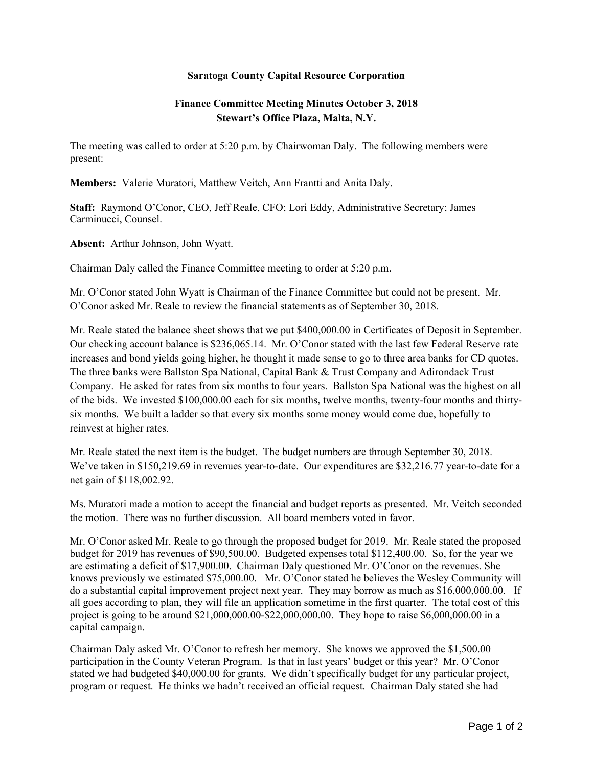## **Saratoga County Capital Resource Corporation**

## **Finance Committee Meeting Minutes October 3, 2018 Stewart's Office Plaza, Malta, N.Y.**

The meeting was called to order at 5:20 p.m. by Chairwoman Daly. The following members were present:

**Members:** Valerie Muratori, Matthew Veitch, Ann Frantti and Anita Daly.

**Staff:** Raymond O'Conor, CEO, Jeff Reale, CFO; Lori Eddy, Administrative Secretary; James Carminucci, Counsel.

**Absent:** Arthur Johnson, John Wyatt.

Chairman Daly called the Finance Committee meeting to order at 5:20 p.m.

Mr. O'Conor stated John Wyatt is Chairman of the Finance Committee but could not be present. Mr. O'Conor asked Mr. Reale to review the financial statements as of September 30, 2018.

Mr. Reale stated the balance sheet shows that we put \$400,000.00 in Certificates of Deposit in September. Our checking account balance is \$236,065.14. Mr. O'Conor stated with the last few Federal Reserve rate increases and bond yields going higher, he thought it made sense to go to three area banks for CD quotes. The three banks were Ballston Spa National, Capital Bank & Trust Company and Adirondack Trust Company. He asked for rates from six months to four years. Ballston Spa National was the highest on all of the bids. We invested \$100,000.00 each for six months, twelve months, twenty-four months and thirtysix months. We built a ladder so that every six months some money would come due, hopefully to reinvest at higher rates.

Mr. Reale stated the next item is the budget. The budget numbers are through September 30, 2018. We've taken in \$150,219.69 in revenues year-to-date. Our expenditures are \$32,216.77 year-to-date for a net gain of \$118,002.92.

Ms. Muratori made a motion to accept the financial and budget reports as presented. Mr. Veitch seconded the motion. There was no further discussion. All board members voted in favor.

Mr. O'Conor asked Mr. Reale to go through the proposed budget for 2019. Mr. Reale stated the proposed budget for 2019 has revenues of \$90,500.00. Budgeted expenses total \$112,400.00. So, for the year we are estimating a deficit of \$17,900.00. Chairman Daly questioned Mr. O'Conor on the revenues. She knows previously we estimated \$75,000.00. Mr. O'Conor stated he believes the Wesley Community will do a substantial capital improvement project next year. They may borrow as much as \$16,000,000.00. If all goes according to plan, they will file an application sometime in the first quarter. The total cost of this project is going to be around \$21,000,000.00-\$22,000,000.00. They hope to raise \$6,000,000.00 in a capital campaign.

Chairman Daly asked Mr. O'Conor to refresh her memory. She knows we approved the \$1,500.00 participation in the County Veteran Program. Is that in last years' budget or this year? Mr. O'Conor stated we had budgeted \$40,000.00 for grants. We didn't specifically budget for any particular project, program or request. He thinks we hadn't received an official request. Chairman Daly stated she had